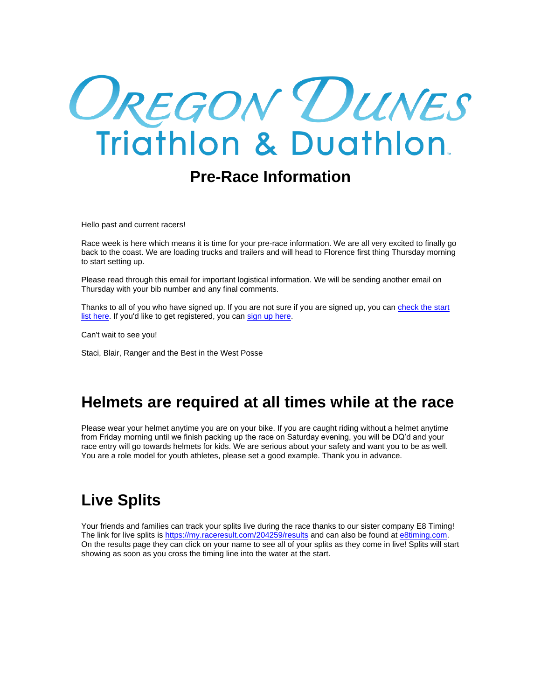# OREGON DUNES<br>Triathlon & Duathlon

## **Pre-Race Information**

Hello past and current racers!

Race week is here which means it is time for your pre-race information. We are all very excited to finally go back to the coast. We are loading trucks and trailers and will head to Florence first thing Thursday morning to start setting up.

Please read through this email for important logistical information. We will be sending another email on Thursday with your bib number and any final comments.

Thanks to all of you who have signed up. If you are not sure if you are signed up, you can [check the start](http://rsulink.oregondunestriathlon.com/ls/click?upn=0UzMzvyTnCa2GVydbsBVOsOioYEiOOkW-2F4kLrwjQgNGMe5GVvTs-2FaqAwUGzN5Fx8jDJxJzDRaYFa8lQktAnXNkySVd35UFCGPQW9gXFhbU7ReIbJLt2-2BPQud43g9cTkUM3e9lWMv3BCkvRlqYjSQd2qBdY3mK3ft-2BETcq9r4EW4-3Dujar_zEQxMPzMSv6wULMvb-2Bb0tSp0RuwqXgjKYhKXnoO4bWxIdfev41eJrvJ9zQwtYMhp24YtqC1pCjtEwBni-2BJ-2B3h2yOkdD9vHEtVzG1FsRFU2RDA51TJl6OY1Bv2yoRrik-2BqQobP6-2BExoz9Ii165-2B8AWjd8z0GX9WO06HQopKNk9Uy-2BC-2FfKXCMIhtu7zwmOUICoDE7gOdAdUGRGjXbfhS3Z7w-3D-3D)  [list here.](http://rsulink.oregondunestriathlon.com/ls/click?upn=0UzMzvyTnCa2GVydbsBVOsOioYEiOOkW-2F4kLrwjQgNGMe5GVvTs-2FaqAwUGzN5Fx8jDJxJzDRaYFa8lQktAnXNkySVd35UFCGPQW9gXFhbU7ReIbJLt2-2BPQud43g9cTkUM3e9lWMv3BCkvRlqYjSQd2qBdY3mK3ft-2BETcq9r4EW4-3Dujar_zEQxMPzMSv6wULMvb-2Bb0tSp0RuwqXgjKYhKXnoO4bWxIdfev41eJrvJ9zQwtYMhp24YtqC1pCjtEwBni-2BJ-2B3h2yOkdD9vHEtVzG1FsRFU2RDA51TJl6OY1Bv2yoRrik-2BqQobP6-2BExoz9Ii165-2B8AWjd8z0GX9WO06HQopKNk9Uy-2BC-2FfKXCMIhtu7zwmOUICoDE7gOdAdUGRGjXbfhS3Z7w-3D-3D) If you'd like to get registered, you can [sign up here.](http://rsulink.oregondunestriathlon.com/ls/click?upn=0UzMzvyTnCa2GVydbsBVOsOioYEiOOkW-2F4kLrwjQgNEvgcDcWuQXdO0HnJpZwInOFKxFX59eiEUG5-2Fh5FUiQWWRtaYg9-2BQoEvvFC8X9blzTQ8zB-2BHretSeL83LbvhXS-2FO8xm_zEQxMPzMSv6wULMvb-2Bb0tSp0RuwqXgjKYhKXnoO4bWxIdfev41eJrvJ9zQwtYMhpd14P02UKJ3CV4BRAXratsGjuxS-2B21V1Tms4RgLXF0ogolLpuSqqgHHVagtBWyS2xbVmJqJ2EII-2Ffi5uoVSjqKAKJQzL0XjfN7Hdtk-2FuQ3DcnPtSMfTClVPAn9imd3FtgVfXva-2BU9kLtzls7ivLs-2BTQ-3D-3D)

Can't wait to see you!

Staci, Blair, Ranger and the Best in the West Posse

## **Helmets are required at all times while at the race**

Please wear your helmet anytime you are on your bike. If you are caught riding without a helmet anytime from Friday morning until we finish packing up the race on Saturday evening, you will be DQ'd and your race entry will go towards helmets for kids. We are serious about your safety and want you to be as well. You are a role model for youth athletes, please set a good example. Thank you in advance.

# **Live Splits**

Your friends and families can track your splits live during the race thanks to our sister company E8 Timing! The link for live splits is <https://my.raceresult.com/204259/results> and can also be found at [e8timing.com.](http://e8timing.com/) On the results page they can click on your name to see all of your splits as they come in live! Splits will start showing as soon as you cross the timing line into the water at the start.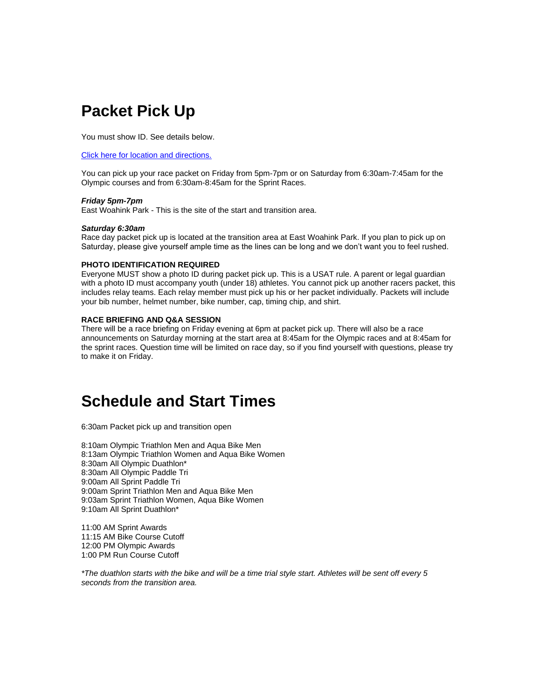## **Packet Pick Up**

You must show ID. See details below.

[Click here for location and directions.](http://rsulink.oregondunestriathlon.com/ls/click?upn=0UzMzvyTnCa2GVydbsBVOvcTSQs1XrCIRFwTX0L2QZWn38NoQXyoo0oWiaHWN7EqGgBsnMLqgYQ6Ip8-2FKFM-2FLn6bH-2FXRnSTBWBzLjpVUO8Q-3DHRYo_zEQxMPzMSv6wULMvb-2Bb0tSp0RuwqXgjKYhKXnoO4bWxIdfev41eJrvJ9zQwtYMhp-2FCR955etMSmGBGtsdIOsJrTE0DHKBCKSONwNCNIAk85MjXhqjOOUWEYazQbicqKcmlkjCNmba-2BYMD2sDgTaYdYNehKKDYI5kgs0ZNBbACf1-2BSiSAABlN0NbMl7q1ssasK8TYucPTRRzZCVOlMEQbAQ-3D-3D)

You can pick up your race packet on Friday from 5pm-7pm or on Saturday from 6:30am-7:45am for the Olympic courses and from 6:30am-8:45am for the Sprint Races.

#### *Friday 5pm-7pm*

East Woahink Park - This is the site of the start and transition area.

#### *Saturday 6:30am*

Race day packet pick up is located at the transition area at East Woahink Park. If you plan to pick up on Saturday, please give yourself ample time as the lines can be long and we don't want you to feel rushed.

#### **PHOTO IDENTIFICATION REQUIRED**

Everyone MUST show a photo ID during packet pick up. This is a USAT rule. A parent or legal guardian with a photo ID must accompany youth (under 18) athletes. You cannot pick up another racers packet, this includes relay teams. Each relay member must pick up his or her packet individually. Packets will include your bib number, helmet number, bike number, cap, timing chip, and shirt.

#### **RACE BRIEFING AND Q&A SESSION**

There will be a race briefing on Friday evening at 6pm at packet pick up. There will also be a race announcements on Saturday morning at the start area at 8:45am for the Olympic races and at 8:45am for the sprint races. Question time will be limited on race day, so if you find yourself with questions, please try to make it on Friday.

## **Schedule and Start Times**

6:30am Packet pick up and transition open

8:10am Olympic Triathlon Men and Aqua Bike Men 8:13am Olympic Triathlon Women and Aqua Bike Women 8:30am All Olympic Duathlon\* 8:30am All Olympic Paddle Tri 9:00am All Sprint Paddle Tri 9:00am Sprint Triathlon Men and Aqua Bike Men 9:03am Sprint Triathlon Women, Aqua Bike Women 9:10am All Sprint Duathlon\*

11:00 AM Sprint Awards 11:15 AM Bike Course Cutoff 12:00 PM Olympic Awards 1:00 PM Run Course Cutoff

*\*The duathlon starts with the bike and will be a time trial style start. Athletes will be sent off every 5 seconds from the transition area.*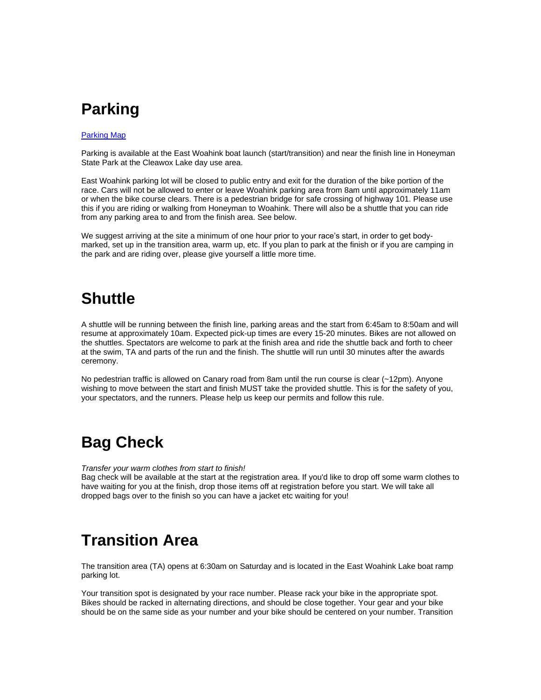## **Parking**

#### [Parking Map](http://rsulink.oregondunestriathlon.com/ls/click?upn=0UzMzvyTnCa2GVydbsBVOvcTSQs1XrCIRFwTX0L2QZV6Kg-2FqNxTJpsVPzBvrgLNqR4KZYgDHom4wxtfSG9fRT-2BEo95BzEFWEheMhyZwhxjo-3D5zxk_zEQxMPzMSv6wULMvb-2Bb0tSp0RuwqXgjKYhKXnoO4bWxIdfev41eJrvJ9zQwtYMhpMjgQGtc4op4pTDqUho-2F9N0Ha2YD1jvVsTPIx3amjKQBT7-2FJ3seYRqVunoqLMnIHJua-2BBtUfyd7wOyGz-2FCsRJaLz8RKwwUkER2ib6oQZg8dbLLd42XJrILFO0Pi4CH-2FRUMRgnIr6sLYUCGS-2BpxOMzOw-3D-3D)

Parking is available at the East Woahink boat launch (start/transition) and near the finish line in Honeyman State Park at the Cleawox Lake day use area.

East Woahink parking lot will be closed to public entry and exit for the duration of the bike portion of the race. Cars will not be allowed to enter or leave Woahink parking area from 8am until approximately 11am or when the bike course clears. There is a pedestrian bridge for safe crossing of highway 101. Please use this if you are riding or walking from Honeyman to Woahink. There will also be a shuttle that you can ride from any parking area to and from the finish area. See below.

We suggest arriving at the site a minimum of one hour prior to your race's start, in order to get bodymarked, set up in the transition area, warm up, etc. If you plan to park at the finish or if you are camping in the park and are riding over, please give yourself a little more time.

## **Shuttle**

A shuttle will be running between the finish line, parking areas and the start from 6:45am to 8:50am and will resume at approximately 10am. Expected pick-up times are every 15-20 minutes. Bikes are not allowed on the shuttles. Spectators are welcome to park at the finish area and ride the shuttle back and forth to cheer at the swim, TA and parts of the run and the finish. The shuttle will run until 30 minutes after the awards ceremony.

No pedestrian traffic is allowed on Canary road from 8am until the run course is clear (~12pm). Anyone wishing to move between the start and finish MUST take the provided shuttle. This is for the safety of you, your spectators, and the runners. Please help us keep our permits and follow this rule.

## **Bag Check**

*Transfer your warm clothes from start to finish!*

Bag check will be available at the start at the registration area. If you'd like to drop off some warm clothes to have waiting for you at the finish, drop those items off at registration before you start. We will take all dropped bags over to the finish so you can have a jacket etc waiting for you!

# **Transition Area**

The transition area (TA) opens at 6:30am on Saturday and is located in the East Woahink Lake boat ramp parking lot.

Your transition spot is designated by your race number. Please rack your bike in the appropriate spot. Bikes should be racked in alternating directions, and should be close together. Your gear and your bike should be on the same side as your number and your bike should be centered on your number. Transition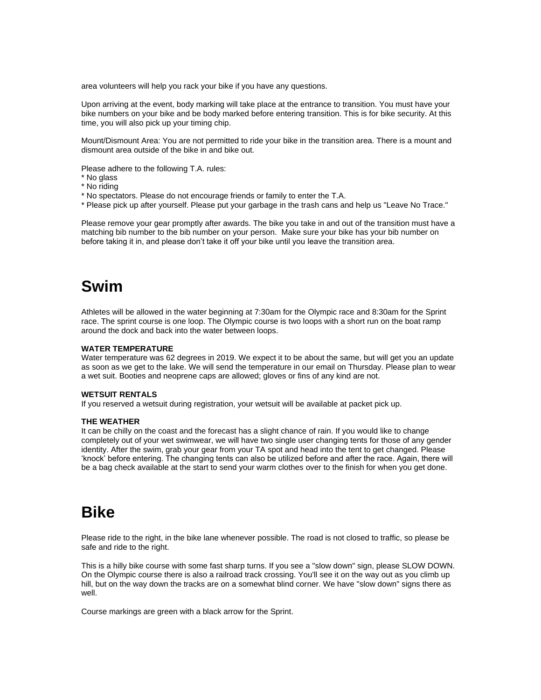area volunteers will help you rack your bike if you have any questions.

Upon arriving at the event, body marking will take place at the entrance to transition. You must have your bike numbers on your bike and be body marked before entering transition. This is for bike security. At this time, you will also pick up your timing chip.

Mount/Dismount Area: You are not permitted to ride your bike in the transition area. There is a mount and dismount area outside of the bike in and bike out.

Please adhere to the following T.A. rules:

- \* No glass
- \* No riding
- \* No spectators. Please do not encourage friends or family to enter the T.A.
- \* Please pick up after yourself. Please put your garbage in the trash cans and help us "Leave No Trace."

Please remove your gear promptly after awards. The bike you take in and out of the transition must have a matching bib number to the bib number on your person. Make sure your bike has your bib number on before taking it in, and please don't take it off your bike until you leave the transition area.

## **Swim**

Athletes will be allowed in the water beginning at 7:30am for the Olympic race and 8:30am for the Sprint race. The sprint course is one loop. The Olympic course is two loops with a short run on the boat ramp around the dock and back into the water between loops.

#### **WATER TEMPERATURE**

Water temperature was 62 degrees in 2019. We expect it to be about the same, but will get you an update as soon as we get to the lake. We will send the temperature in our email on Thursday. Please plan to wear a wet suit. Booties and neoprene caps are allowed; gloves or fins of any kind are not.

#### **WETSUIT RENTALS**

If you reserved a wetsuit during registration, your wetsuit will be available at packet pick up.

#### **THE WEATHER**

It can be chilly on the coast and the forecast has a slight chance of rain. If you would like to change completely out of your wet swimwear, we will have two single user changing tents for those of any gender identity. After the swim, grab your gear from your TA spot and head into the tent to get changed. Please 'knock' before entering. The changing tents can also be utilized before and after the race. Again, there will be a bag check available at the start to send your warm clothes over to the finish for when you get done.

## **Bike**

Please ride to the right, in the bike lane whenever possible. The road is not closed to traffic, so please be safe and ride to the right.

This is a hilly bike course with some fast sharp turns. If you see a "slow down" sign, please SLOW DOWN. On the Olympic course there is also a railroad track crossing. You'll see it on the way out as you climb up hill, but on the way down the tracks are on a somewhat blind corner. We have "slow down" signs there as well.

Course markings are green with a black arrow for the Sprint.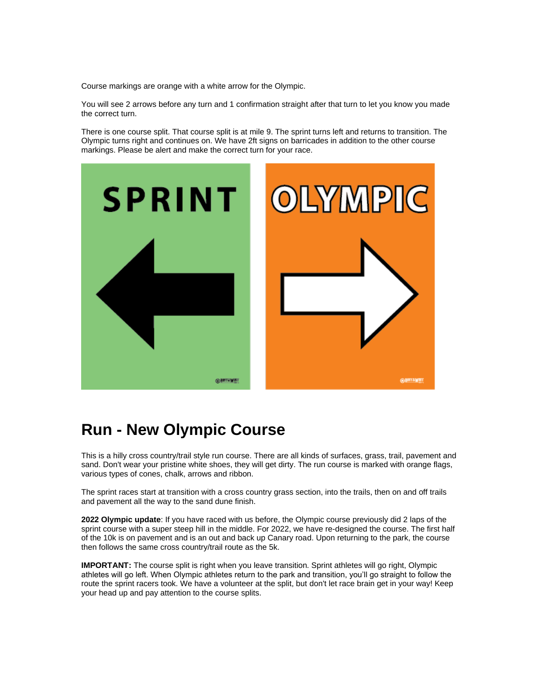Course markings are orange with a white arrow for the Olympic.

You will see 2 arrows before any turn and 1 confirmation straight after that turn to let you know you made the correct turn.

There is one course split. That course split is at mile 9. The sprint turns left and returns to transition. The Olympic turns right and continues on. We have 2ft signs on barricades in addition to the other course markings. Please be alert and make the correct turn for your race.



## **Run - New Olympic Course**

This is a hilly cross country/trail style run course. There are all kinds of surfaces, grass, trail, pavement and sand. Don't wear your pristine white shoes, they will get dirty. The run course is marked with orange flags, various types of cones, chalk, arrows and ribbon.

The sprint races start at transition with a cross country grass section, into the trails, then on and off trails and pavement all the way to the sand dune finish.

**2022 Olympic update**: If you have raced with us before, the Olympic course previously did 2 laps of the sprint course with a super steep hill in the middle. For 2022, we have re-designed the course. The first half of the 10k is on pavement and is an out and back up Canary road. Upon returning to the park, the course then follows the same cross country/trail route as the 5k.

**IMPORTANT:** The course split is right when you leave transition. Sprint athletes will go right, Olympic athletes will go left. When Olympic athletes return to the park and transition, you'll go straight to follow the route the sprint racers took. We have a volunteer at the split, but don't let race brain get in your way! Keep your head up and pay attention to the course splits.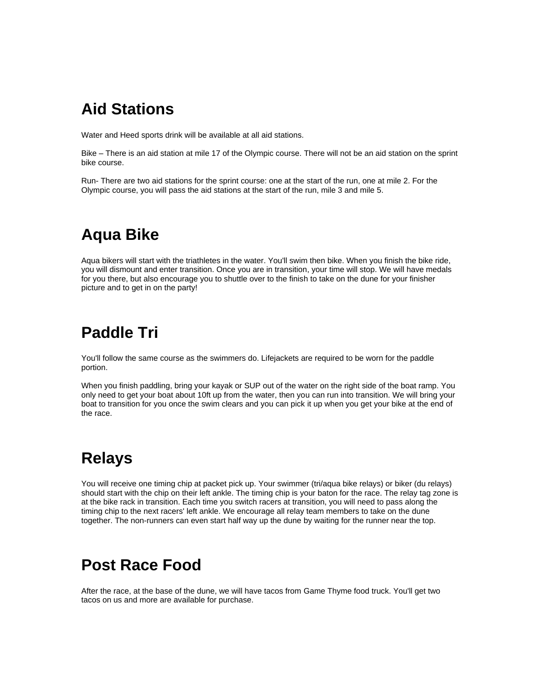## **Aid Stations**

Water and Heed sports drink will be available at all aid stations.

Bike – There is an aid station at mile 17 of the Olympic course. There will not be an aid station on the sprint bike course.

Run- There are two aid stations for the sprint course: one at the start of the run, one at mile 2. For the Olympic course, you will pass the aid stations at the start of the run, mile 3 and mile 5.

## **Aqua Bike**

Aqua bikers will start with the triathletes in the water. You'll swim then bike. When you finish the bike ride, you will dismount and enter transition. Once you are in transition, your time will stop. We will have medals for you there, but also encourage you to shuttle over to the finish to take on the dune for your finisher picture and to get in on the party!

# **Paddle Tri**

You'll follow the same course as the swimmers do. Lifejackets are required to be worn for the paddle portion.

When you finish paddling, bring your kayak or SUP out of the water on the right side of the boat ramp. You only need to get your boat about 10ft up from the water, then you can run into transition. We will bring your boat to transition for you once the swim clears and you can pick it up when you get your bike at the end of the race.

## **Relays**

You will receive one timing chip at packet pick up. Your swimmer (tri/aqua bike relays) or biker (du relays) should start with the chip on their left ankle. The timing chip is your baton for the race. The relay tag zone is at the bike rack in transition. Each time you switch racers at transition, you will need to pass along the timing chip to the next racers' left ankle. We encourage all relay team members to take on the dune together. The non-runners can even start half way up the dune by waiting for the runner near the top.

# **Post Race Food**

After the race, at the base of the dune, we will have tacos from Game Thyme food truck. You'll get two tacos on us and more are available for purchase.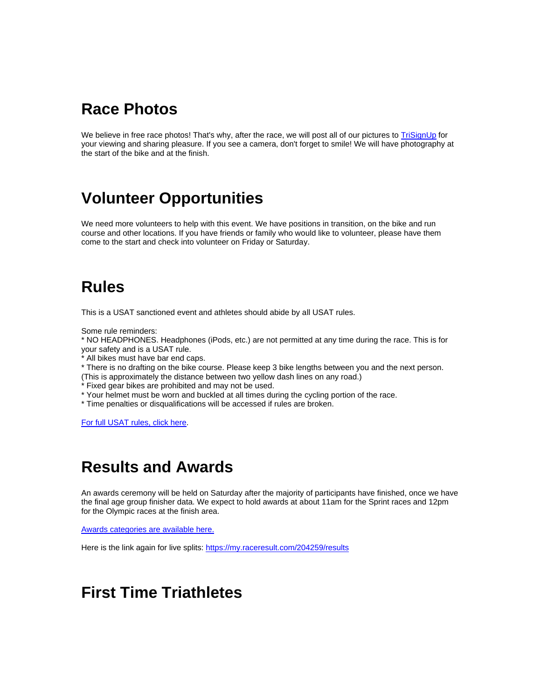## **Race Photos**

We believe in free race photos! That's why, after the race, we will post all of our pictures to [TriSignUp](http://rsulink.oregondunestriathlon.com/ls/click?upn=0UzMzvyTnCa2GVydbsBVOsOioYEiOOkW-2F4kLrwjQgNHPvaLXc4r8-2B0jccMt9n0yinh-2BU37UtVWU7Ezn0V6ZLD-2Bj-2BRTu5t8DjE9JmarHuKqvTqlVwzVk7DQFxVpW-2Be5zAAxBoGyx0iXChQf5zFw0oYeErFsUsqNuZo4klGk3LOn6ws346KxjXqAnqt-2ByKYcdjOfqZ_zEQxMPzMSv6wULMvb-2Bb0tSp0RuwqXgjKYhKXnoO4bWxIdfev41eJrvJ9zQwtYMhp7CTe5vETUXz6wU2zbpPE22XgnOVCus7Hbdb-2Fj3Er-2FJNIcxGDMIx4f-2FOLf-2FKy0UOLqGTaUzNXKzjW4wy7OxcwWrioG9LschRdaMFb7imwlOVgurKWR-2BgI-2FfSsitBDMW-2F4S-2FqZV3YtTv8cE9w-2FUROIpw-3D-3D) for your viewing and sharing pleasure. If you see a camera, don't forget to smile! We will have photography at the start of the bike and at the finish.

## **Volunteer Opportunities**

We need more volunteers to help with this event. We have positions in transition, on the bike and run course and other locations. If you have friends or family who would like to volunteer, please have them come to the start and check into volunteer on Friday or Saturday.

## **Rules**

This is a USAT sanctioned event and athletes should abide by all USAT rules.

Some rule reminders:

\* NO HEADPHONES. Headphones (iPods, etc.) are not permitted at any time during the race. This is for your safety and is a USAT rule.

\* All bikes must have bar end caps.

\* There is no drafting on the bike course. Please keep 3 bike lengths between you and the next person.

- (This is approximately the distance between two yellow dash lines on any road.)
- \* Fixed gear bikes are prohibited and may not be used.
- \* Your helmet must be worn and buckled at all times during the cycling portion of the race.
- \* Time penalties or disqualifications will be accessed if rules are broken.

[For full USAT rules, click here.](http://rsulink.oregondunestriathlon.com/ls/click?upn=0UzMzvyTnCa2GVydbsBVOk1puxHi2cAo4BsEWlk8pMk6wHaoCcRUH3F-2FyUexkfrDw9Ct8mmdFAGsn5cw2OfNgVcxwQY53W-2FDtcN6mG9zuzNDZnywq7W8PFtSTc5x-2Fdk3jJ2J_zEQxMPzMSv6wULMvb-2Bb0tSp0RuwqXgjKYhKXnoO4bWxIdfev41eJrvJ9zQwtYMhpv-2Bm8zFmNLNqSUUt-2Bd5MMNqjaVR1butAHSmDmyz4pAxS1ar85oyEuZzsXxNYyyt-2Bi1ldFVLeSRrXZEdorXoTk8G3p3f7p-2BUALzSnnsGwvnULN3q96VtJ4LTmvqlG5dQeid8MR6vv-2FD0n1LmHjlA5a7A-3D-3D)

## **Results and Awards**

An awards ceremony will be held on Saturday after the majority of participants have finished, once we have the final age group finisher data. We expect to hold awards at about 11am for the Sprint races and 12pm for the Olympic races at the finish area.

[Awards categories are available here.](http://rsulink.oregondunestriathlon.com/ls/click?upn=0UzMzvyTnCa2GVydbsBVOvcTSQs1XrCIRFwTX0L2QZVLsat6mS9qChlGLwWDio83ebKsI6ujs-2BQ5Xs3148q0GuWOxtXJSu-2FgR25ZN-2BR6yrs-3DRWca_zEQxMPzMSv6wULMvb-2Bb0tSp0RuwqXgjKYhKXnoO4bWxIdfev41eJrvJ9zQwtYMhpUiV52aTQhLaxYtpThmxQmcQ7B7Xg5rvlNFOChnGjXNKW1UuXECabSmjiZD-2FzY0TYC1f14m-2BwldF73bi9tgnHO-2BAjSpQZKB1azkK-2FRbfliYDzpWGQVPXUrcxq5Fkw9obsDpK9Xw9PikEW-2F09OLXJpBA-3D-3D)

Here is the link again for live splits: [https://my.raceresult.com/204259/results](http://rsulink.oregondunestriathlon.com/ls/click?upn=0UzMzvyTnCa2GVydbsBVOpAxmLu6LRlr1fm9VoRaS3twdKiBkGswhuvjTOvt2Y8okArNFORK3AC-2FqJz-2BbTxNLg-3D-3DhVfF_zEQxMPzMSv6wULMvb-2Bb0tSp0RuwqXgjKYhKXnoO4bWxIdfev41eJrvJ9zQwtYMhpKuq0Nd0CKv5-2BP1FFP7fwoPn-2BXeg-2BdHsTsy4FurJGGhjJ-2BDun4osyVYHU7ONQM3MnwrBPLDc89KRifaedYSjT2q9693CfEh5efNYuV4PO6giIXaHbzb3eDsV0fGBFpAWvYQFxla7oWw5LPAsVqbiPxw-3D-3D)

## **First Time Triathletes**